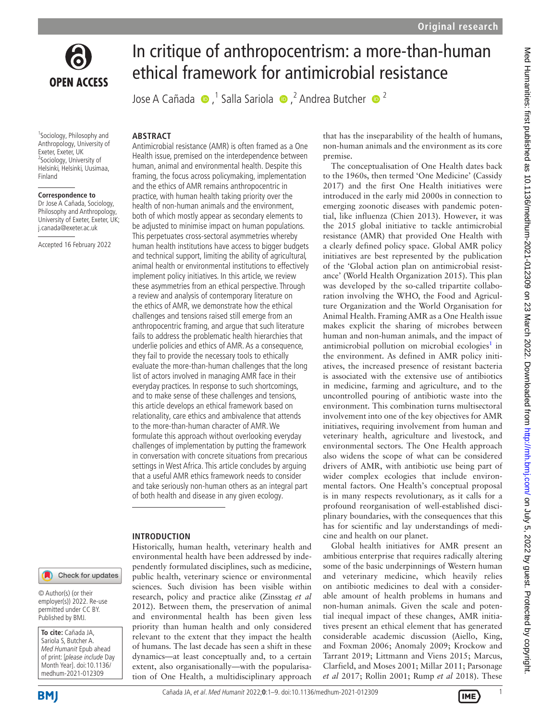

<sup>1</sup>Sociology, Philosophy and Anthropology, University of Exeter, Exeter, UK <sup>2</sup>Sociology, University of Helsinki, Helsinki, Uusimaa, Finland

#### **Correspondence to**

Dr Jose A Cañada, Sociology, Philosophy and Anthropology, University of Exeter, Exeter, UK; j.canada@exeter.ac.uk

Accepted 16 February 2022

# In critique of anthropocentrism: a more-than-human ethical framework for antimicrobial resistance

JoseA Cañada  $\bigcirc$ ,<sup>1</sup> Salla Sariola  $\bigcirc$ ,<sup>2</sup> Andrea Butcher  $\bigcirc$ <sup>2</sup>

#### **ABSTRACT**

Antimicrobial resistance (AMR) is often framed as a One Health issue, premised on the interdependence between human, animal and environmental health. Despite this framing, the focus across policymaking, implementation and the ethics of AMR remains anthropocentric in practice, with human health taking priority over the health of non-human animals and the environment, both of which mostly appear as secondary elements to be adjusted to minimise impact on human populations. This perpetuates cross-sectoral asymmetries whereby human health institutions have access to bigger budgets and technical support, limiting the ability of agricultural, animal health or environmental institutions to effectively implement policy initiatives. In this article, we review these asymmetries from an ethical perspective. Through a review and analysis of contemporary literature on the ethics of AMR, we demonstrate how the ethical challenges and tensions raised still emerge from an anthropocentric framing, and argue that such literature fails to address the problematic health hierarchies that underlie policies and ethics of AMR. As a consequence, they fail to provide the necessary tools to ethically evaluate the more-than-human challenges that the long list of actors involved in managing AMR face in their everyday practices. In response to such shortcomings, and to make sense of these challenges and tensions, this article develops an ethical framework based on relationality, care ethics and ambivalence that attends to the more-than-human character of AMR. We formulate this approach without overlooking everyday challenges of implementation by putting the framework in conversation with concrete situations from precarious settings in West Africa. This article concludes by arguing that a useful AMR ethics framework needs to consider and take seriously non-human others as an integral part of both health and disease in any given ecology.

#### **INTRODUCTION**

Historically, human health, veterinary health and environmental health have been addressed by independently formulated disciplines, such as medicine, public health, veterinary science or environmental sciences. Such division has been visible within research, policy and practice alike [\(Zinsstag](#page-8-0) *et al* [2012\)](#page-8-0). Between them, the preservation of animal and environmental health has been given less priority than human health and only considered relevant to the extent that they impact the health of humans. The last decade has seen a shift in these dynamics—at least conceptually and, to a certain extent, also organisationally—with the popularisation of One Health, a multidisciplinary approach

that has the inseparability of the health of humans, non-human animals and the environment as its core premise.

The conceptualisation of One Health dates back to the 1960s, then termed 'One Medicine' ([Cassidy](#page-7-0) [2017\)](#page-7-0) and the first One Health initiatives were introduced in the early mid 2000s in connection to emerging zoonotic diseases with pandemic potential, like influenza [\(Chien 2013\)](#page-7-1). However, it was the 2015 global initiative to tackle antimicrobial resistance (AMR) that provided One Health with a clearly defined policy space. Global AMR policy initiatives are best represented by the publication of the 'Global action plan on antimicrobial resistance' [\(World Health Organization 2015](#page-8-1)). This plan was developed by the so-called tripartite collaboration involving the WHO, the Food and Agriculture Organization and the World Organisation for Animal Health. Framing AMR as a One Health issue makes explicit the sharing of microbes between human and non-human animals, and the impact of antimicrobial pollution on microbial ecologies<sup>[1](#page-7-2)</sup> in the environment. As defined in AMR policy initiatives, the increased presence of resistant bacteria is associated with the extensive use of antibiotics in medicine, farming and agriculture, and to the uncontrolled pouring of antibiotic waste into the environment. This combination turns multisectoral involvement into one of the key objectives for AMR initiatives, requiring involvement from human and veterinary health, agriculture and livestock, and environmental sectors. The One Health approach also widens the scope of what can be considered drivers of AMR, with antibiotic use being part of wider complex ecologies that include environmental factors. One Health's conceptual proposal is in many respects revolutionary, as it calls for a profound reorganisation of well-established disciplinary boundaries, with the consequences that this has for scientific and lay understandings of medicine and health on our planet.

Global health initiatives for AMR present an ambitious enterprise that requires radically altering some of the basic underpinnings of Western human and veterinary medicine, which heavily relies on antibiotic medicines to deal with a considerable amount of health problems in humans and non-human animals. Given the scale and potential inequal impact of these changes, AMR initiatives present an ethical element that has generated considerable academic discussion ([Aiello, King,](#page-7-3) [and Foxman 2006](#page-7-3); [Anomaly 2009](#page-7-4); [Krockow and](#page-8-2) [Tarrant 2019](#page-8-2); [Littmann and Viens 2015](#page-8-3); [Marcus,](#page-8-4) [Clarfield, and Moses 2001;](#page-8-4) [Millar 2011](#page-8-5); [Parsonage](#page-8-6) *et al* [2017](#page-8-6); [Rollin 2001;](#page-8-7) [Rump](#page-8-8) *et al* 2018). These

Check for updates

© Author(s) (or their employer(s)) 2022. Re-use permitted under CC BY. Published by BMJ.

**To cite:** Cañada JA, Sariola S, Butcher A. Med Humanit Epub ahead of print: [please include Day Month Year]. doi:10.1136/ medhum-2021-012309

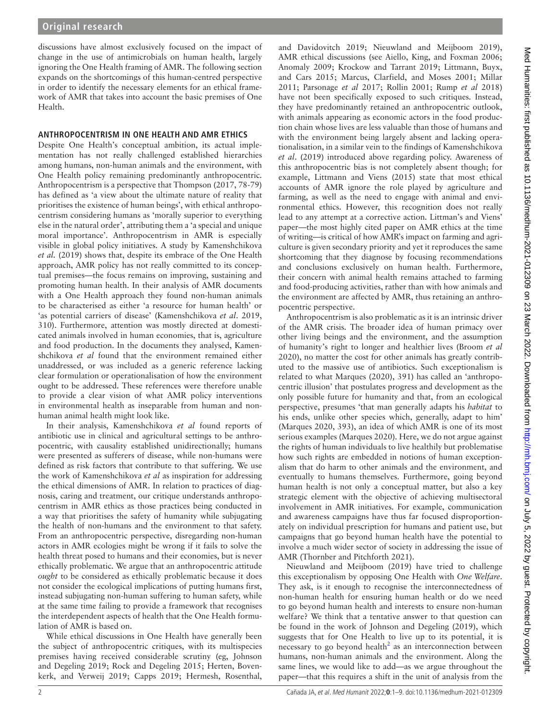discussions have almost exclusively focused on the impact of change in the use of antimicrobials on human health, largely ignoring the One Health framing of AMR. The following section expands on the shortcomings of this human-centred perspective in order to identify the necessary elements for an ethical framework of AMR that takes into account the basic premises of One Health.

## **ANTHROPOCENTRISM IN ONE HEALTH AND AMR ETHICS**

Despite One Health's conceptual ambition, its actual implementation has not really challenged established hierarchies among humans, non-human animals and the environment, with One Health policy remaining predominantly anthropocentric. Anthropocentrism is a perspective that [Thompson \(2017, 78-79\)](#page-8-9) has defined as 'a view about the ultimate nature of reality that prioritises the existence of human beings', with ethical anthropocentrism considering humans as 'morally superior to everything else in the natural order', attributing them a 'a special and unique moral importance'. Anthropocentrism in AMR is especially visible in global policy initiatives. A study by [Kamenshchikova](#page-8-10)  *et al.* [\(2019\)](#page-8-10) shows that, despite its embrace of the One Health approach, AMR policy has not really committed to its conceptual premises—the focus remains on improving, sustaining and promoting human health. In their analysis of AMR documents with a One Health approach they found non-human animals to be characterised as either 'a resource for human health' or 'as potential carriers of disease' [\(Kamenshchikova](#page-8-10) *et al*. 2019, 310). Furthermore, attention was mostly directed at domesticated animals involved in human economies, that is, agriculture and food production. In the documents they analysed, Kamenshchikova *et al* found that the environment remained either unaddressed, or was included as a generic reference lacking clear formulation or operationalisation of how the environment ought to be addressed. These references were therefore unable to provide a clear vision of what AMR policy interventions in environmental health as inseparable from human and nonhuman animal health might look like.

In their analysis, Kamenshchikova *et al* found reports of antibiotic use in clinical and agricultural settings to be anthropocentric, with causality established unidirectionally; humans were presented as sufferers of disease, while non-humans were defined as risk factors that contribute to that suffering. We use the work of Kamenshchikova *et al* as inspiration for addressing the ethical dimensions of AMR. In relation to practices of diagnosis, caring and treatment, our critique understands anthropocentrism in AMR ethics as those practices being conducted in a way that prioritises the safety of humanity while subjugating the health of non-humans and the environment to that safety. From an anthropocentric perspective, disregarding non-human actors in AMR ecologies might be wrong if it fails to solve the health threat posed to humans and their economies, but is never ethically problematic. We argue that an anthropocentric attitude *ought* to be considered as ethically problematic because it does not consider the ecological implications of putting humans first, instead subjugating non-human suffering to human safety, while at the same time failing to provide a framework that recognises the interdependent aspects of health that the One Health formulation of AMR is based on.

While ethical discussions in One Health have generally been the subject of anthropocentric critiques, with its multispecies premises having received considerable scrutiny (eg, [Johnson](#page-8-11)  [and Degeling 2019](#page-8-11); [Rock and Degeling 2015;](#page-8-12) [Herten, Boven](#page-8-13)[kerk, and Verweij 2019;](#page-8-13) [Capps 2019](#page-7-5); [Hermesh, Rosenthal,](#page-7-6) 

[and Davidovitch 2019](#page-7-6); [Nieuwland and Meijboom 2019\)](#page-8-14), AMR ethical discussions (see [Aiello, King, and Foxman 2006](#page-7-3); [Anomaly 2009](#page-7-4); [Krockow and Tarrant 2019](#page-8-2); [Littmann, Buyx,](#page-8-15) [and Cars 2015](#page-8-15); [Marcus, Clarfield, and Moses 2001](#page-8-4); [Millar](#page-8-5) [2011;](#page-8-5) [Parsonage](#page-8-6) *et al* 2017; [Rollin 2001](#page-8-7); [Rump](#page-8-8) *et al* 2018) have not been specifically exposed to such critiques. Instead, they have predominantly retained an anthropocentric outlook, with animals appearing as economic actors in the food production chain whose lives are less valuable than those of humans and with the environment being largely absent and lacking operationalisation, in a similar vein to the findings of [Kamenshchikova](#page-8-10) *et al*[. \(2019\)](#page-8-10) introduced above regarding policy. Awareness of this anthropocentric bias is not completely absent though; for example, [Littmann and Viens \(2015\)](#page-8-3) state that most ethical accounts of AMR ignore the role played by agriculture and farming, as well as the need to engage with animal and environmental ethics. However, this recognition does not really lead to any attempt at a corrective action. Littman's and Viens' paper—the most highly cited paper on AMR ethics at the time of writing—is critical of how AMR's impact on farming and agriculture is given secondary priority and yet it reproduces the same shortcoming that they diagnose by focusing recommendations and conclusions exclusively on human health. Furthermore, their concern with animal health remains attached to farming and food-producing activities, rather than with how animals and the environment are affected by AMR, thus retaining an anthropocentric perspective.

Anthropocentrism is also problematic as it is an intrinsic driver of the AMR crisis. The broader idea of human primacy over other living beings and the environment, and the assumption of humanity's right to longer and healthier lives [\(Broom](#page-7-7) *et al* [2020\)](#page-7-7), no matter the cost for other animals has greatly contributed to the massive use of antibiotics. Such exceptionalism is related to what [Marques \(2020\)](#page-8-16), 391) has called an 'anthropocentric illusion' that postulates progress and development as the only possible future for humanity and that, from an ecological perspective, presumes 'that man generally adapts his *habitat* to his ends, unlike other species which, generally, adapt to him' ([Marques 2020](#page-8-16), 393), an idea of which AMR is one of its most serious examples [\(Marques 2020](#page-8-16)). Here, we do not argue against the rights of human individuals to live healthily but problematise how such rights are embedded in notions of human exceptionalism that do harm to other animals and the environment, and eventually to humans themselves. Furthermore, going beyond human health is not only a conceptual matter, but also a key strategic element with the objective of achieving multisectoral involvement in AMR initiatives. For example, communication and awareness campaigns have thus far focused disproportionately on individual prescription for humans and patient use, but campaigns that go beyond human health have the potential to involve a much wider sector of society in addressing the issue of AMR [\(Thornber and Pitchforth 2021\)](#page-8-17).

[Nieuwland and Meijboom \(2019\)](#page-8-14) have tried to challenge this exceptionalism by opposing One Health with *One Welfare*. They ask, is it enough to recognise the interconnectedness of non-human health for ensuring human health or do we need to go beyond human health and interests to ensure non-human welfare? We think that a tentative answer to that question can be found in the work of [Johnson and Degeling \(2019\)](#page-8-11), which suggests that for One Health to live up to its potential, it is necessary to go beyond health<sup>2</sup> as an interconnection between humans, non-human animals and the environment. Along the same lines, we would like to add—as we argue throughout the paper—that this requires a shift in the unit of analysis from the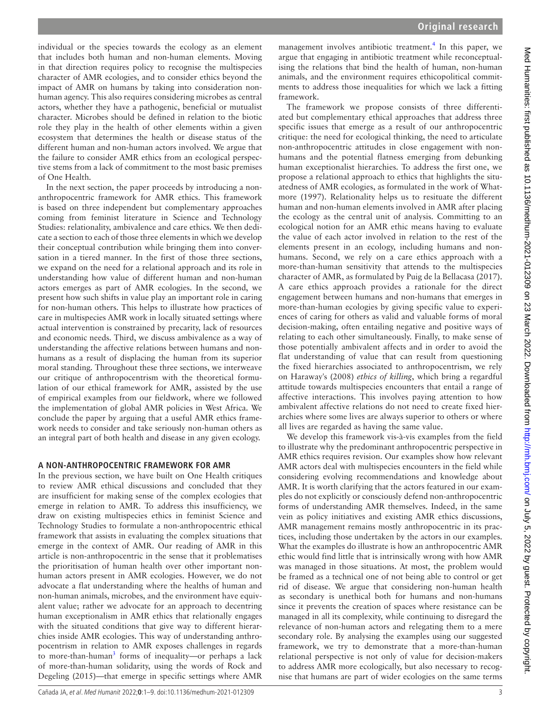individual or the species towards the ecology as an element that includes both human and non-human elements. Moving in that direction requires policy to recognise the multispecies character of AMR ecologies, and to consider ethics beyond the impact of AMR on humans by taking into consideration nonhuman agency. This also requires considering microbes as central actors, whether they have a pathogenic, beneficial or mutualist character. Microbes should be defined in relation to the biotic role they play in the health of other elements within a given ecosystem that determines the health or disease status of the different human and non-human actors involved. We argue that the failure to consider AMR ethics from an ecological perspective stems from a lack of commitment to the most basic premises of One Health.

In the next section, the paper proceeds by introducing a nonanthropocentric framework for AMR ethics. This framework is based on three independent but complementary approaches coming from feminist literature in Science and Technology Studies: relationality, ambivalence and care ethics. We then dedicate a section to each of those three elements in which we develop their conceptual contribution while bringing them into conversation in a tiered manner. In the first of those three sections, we expand on the need for a relational approach and its role in understanding how value of different human and non-human actors emerges as part of AMR ecologies. In the second, we present how such shifts in value play an important role in caring for non-human others. This helps to illustrate how practices of care in multispecies AMR work in locally situated settings where actual intervention is constrained by precarity, lack of resources and economic needs. Third, we discuss ambivalence as a way of understanding the affective relations between humans and nonhumans as a result of displacing the human from its superior moral standing. Throughout these three sections, we interweave our critique of anthropocentrism with the theoretical formulation of our ethical framework for AMR, assisted by the use of empirical examples from our fieldwork, where we followed the implementation of global AMR policies in West Africa. We conclude the paper by arguing that a useful AMR ethics framework needs to consider and take seriously non-human others as an integral part of both health and disease in any given ecology.

## **A NON-ANTHROPOCENTRIC FRAMEWORK FOR AMR**

In the previous section, we have built on One Health critiques to review AMR ethical discussions and concluded that they are insufficient for making sense of the complex ecologies that emerge in relation to AMR. To address this insufficiency, we draw on existing multispecies ethics in feminist Science and Technology Studies to formulate a non-anthropocentric ethical framework that assists in evaluating the complex situations that emerge in the context of AMR. Our reading of AMR in this article is non-anthropocentric in the sense that it problematises the prioritisation of human health over other important nonhuman actors present in AMR ecologies. However, we do not advocate a flat understanding where the healths of human and non-human animals, microbes, and the environment have equivalent value; rather we advocate for an approach to decentring human exceptionalism in AMR ethics that relationally engages with the situated conditions that give way to different hierarchies inside AMR ecologies. This way of understanding anthropocentrism in relation to AMR exposes challenges in regards to more-than-human<sup>[3](#page-7-9)</sup> forms of inequality-or perhaps a lack of more-than-human solidarity, using the words of [Rock and](#page-8-12)  [Degeling \(2015\)—](#page-8-12)that emerge in specific settings where AMR

management involves antibiotic treatment.<sup>[4](#page-7-10)</sup> In this paper, we argue that engaging in antibiotic treatment while reconceptualising the relations that bind the health of human, non-human animals, and the environment requires ethicopolitical commitments to address those inequalities for which we lack a fitting framework.

The framework we propose consists of three differentiated but complementary ethical approaches that address three specific issues that emerge as a result of our anthropocentric critique: the need for ecological thinking, the need to articulate non-anthropocentric attitudes in close engagement with nonhumans and the potential flatness emerging from debunking human exceptionalist hierarchies. To address the first one, we propose a relational approach to ethics that highlights the situatedness of AMR ecologies, as formulated in the work of [What](#page-8-18)[more \(1997\)](#page-8-18). Relationality helps us to resituate the different human and non-human elements involved in AMR after placing the ecology as the central unit of analysis. Committing to an ecological notion for an AMR ethic means having to evaluate the value of each actor involved in relation to the rest of the elements present in an ecology, including humans and nonhumans. Second, we rely on a care ethics approach with a more-than-human sensitivity that attends to the multispecies character of AMR, as formulated by [Puig de la Bellacasa \(2017\).](#page-8-19) A care ethics approach provides a rationale for the direct engagement between humans and non-humans that emerges in more-than-human ecologies by giving specific value to experiences of caring for others as valid and valuable forms of moral decision-making, often entailing negative and positive ways of relating to each other simultaneously. Finally, to make sense of those potentially ambivalent affects and in order to avoid the flat understanding of value that can result from questioning the fixed hierarchies associated to anthropocentrism, we rely on [Haraway's \(2008\)](#page-7-11) *ethics of killing*, which bring a regardful attitude towards multispecies encounters that entail a range of affective interactions. This involves paying attention to how ambivalent affective relations do not need to create fixed hierarchies where some lives are always superior to others or where all lives are regarded as having the same value.

We develop this framework vis-à-vis examples from the field to illustrate why the predominant anthropocentric perspective in AMR ethics requires revision. Our examples show how relevant AMR actors deal with multispecies encounters in the field while considering evolving recommendations and knowledge about AMR. It is worth clarifying that the actors featured in our examples do not explicitly or consciously defend non-anthropocentric forms of understanding AMR themselves. Indeed, in the same vein as policy initiatives and existing AMR ethics discussions, AMR management remains mostly anthropocentric in its practices, including those undertaken by the actors in our examples. What the examples do illustrate is how an anthropocentric AMR ethic would find little that is intrinsically wrong with how AMR was managed in those situations. At most, the problem would be framed as a technical one of not being able to control or get rid of disease. We argue that considering non-human health as secondary is unethical both for humans and non-humans since it prevents the creation of spaces where resistance can be managed in all its complexity, while continuing to disregard the relevance of non-human actors and relegating them to a mere secondary role. By analysing the examples using our suggested framework, we try to demonstrate that a more-than-human relational perspective is not only of value for decision-makers to address AMR more ecologically, but also necessary to recognise that humans are part of wider ecologies on the same terms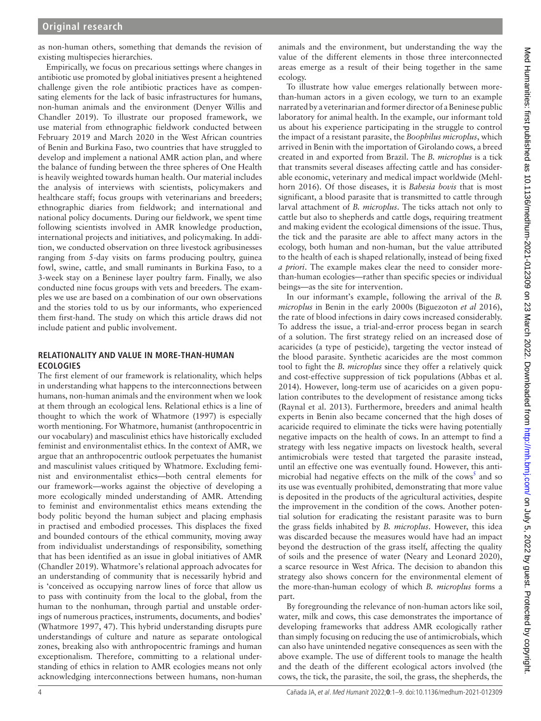as non-human others, something that demands the revision of existing multispecies hierarchies.

Empirically, we focus on precarious settings where changes in antibiotic use promoted by global initiatives present a heightened challenge given the role antibiotic practices have as compensating elements for the lack of basic infrastructures for humans, non-human animals and the environment ([Denyer Willis and](#page-7-12)  [Chandler 2019](#page-7-12)). To illustrate our proposed framework, we use material from ethnographic fieldwork conducted between February 2019 and March 2020 in the West African countries of Benin and Burkina Faso, two countries that have struggled to develop and implement a national AMR action plan, and where the balance of funding between the three spheres of One Health is heavily weighted towards human health. Our material includes the analysis of interviews with scientists, policymakers and healthcare staff; focus groups with veterinarians and breeders; ethnographic diaries from fieldwork; and international and national policy documents. During our fieldwork, we spent time following scientists involved in AMR knowledge production, international projects and initiatives, and policymaking. In addition, we conducted observation on three livestock agribusinesses ranging from 5-day visits on farms producing poultry, guinea fowl, swine, cattle, and small ruminants in Burkina Faso, to a 3-week stay on a Beninese layer poultry farm. Finally, we also conducted nine focus groups with vets and breeders. The examples we use are based on a combination of our own observations and the stories told to us by our informants, who experienced them first-hand. The study on which this article draws did not include patient and public involvement.

#### **RELATIONALITY AND VALUE IN MORE-THAN-HUMAN ECOLOGIES**

The first element of our framework is relationality, which helps in understanding what happens to the interconnections between humans, non-human animals and the environment when we look at them through an ecological lens. Relational ethics is a line of thought to which the work of [Whatmore \(1997\)](#page-8-18) is especially worth mentioning. For Whatmore, humanist (anthropocentric in our vocabulary) and masculinist ethics have historically excluded feminist and environmentalist ethics. In the context of AMR, we argue that an anthropocentric outlook perpetuates the humanist and masculinist values critiqued by Whatmore. Excluding feminist and environmentalist ethics—both central elements for our framework—works against the objective of developing a more ecologically minded understanding of AMR. Attending to feminist and environmentalist ethics means extending the body politic beyond the human subject and placing emphasis in practised and embodied processes. This displaces the fixed and bounded contours of the ethical community, moving away from individualist understandings of responsibility, something that has been identified as an issue in global initiatives of AMR ([Chandler 2019](#page-7-13)). Whatmore's relational approach advocates for an understanding of community that is necessarily hybrid and is 'conceived as occupying narrow lines of force that allow us to pass with continuity from the local to the global, from the human to the nonhuman, through partial and unstable orderings of numerous practices, instruments, documents, and bodies' ([Whatmore 1997](#page-8-18), 47). This hybrid understanding disrupts pure understandings of culture and nature as separate ontological zones, breaking also with anthropocentric framings and human exceptionalism. Therefore, committing to a relational understanding of ethics in relation to AMR ecologies means not only acknowledging interconnections between humans, non-human

animals and the environment, but understanding the way the value of the different elements in those three interconnected areas emerge as a result of their being together in the same ecology.

To illustrate how value emerges relationally between morethan-human actors in a given ecology, we turn to an example narrated by a veterinarian and former director of a Beninese public laboratory for animal health. In the example, our informant told us about his experience participating in the struggle to control the impact of a resistant parasite, the *Boophilus microplus*, which arrived in Benin with the importation of Girolando cows, a breed created in and exported from Brazil. The *B. microplus* is a tick that transmits several diseases affecting cattle and has considerable economic, veterinary and medical impact worldwide ([Mehl](#page-8-20)[horn 2016\)](#page-8-20). Of those diseases, it is *Babesia bovis* that is most significant, a blood parasite that is transmitted to cattle through larval attachment of *B. microplus*. The ticks attach not only to cattle but also to shepherds and cattle dogs, requiring treatment and making evident the ecological dimensions of the issue. Thus, the tick and the parasite are able to affect many actors in the ecology, both human and non-human, but the value attributed to the health of each is shaped relationally, instead of being fixed *a priori*. The example makes clear the need to consider morethan-human ecologies—rather than specific species or individual beings—as the site for intervention.

In our informant's example, following the arrival of the *B. microplus* in Benin in the early 2000s ([Biguezoton](#page-7-14) *et al* 2016), the rate of blood infections in dairy cows increased considerably. To address the issue, a trial-and-error process began in search of a solution. The first strategy relied on an increased dose of acaricides (a type of pesticide), targeting the vector instead of the blood parasite. Synthetic acaricides are the most common tool to fight the *B. microplus* since they offer a relatively quick and cost-effective suppression of tick populations [\(Abbas et](#page-7-15) al. [2014\)](#page-7-15). However, long-term use of acaricides on a given population contributes to the development of resistance among ticks ([Raynal et](#page-8-21) al. 2013). Furthermore, breeders and animal health experts in Benin also became concerned that the high doses of acaricide required to eliminate the ticks were having potentially negative impacts on the health of cows. In an attempt to find a strategy with less negative impacts on livestock health, several antimicrobials were tested that targeted the parasite instead, until an effective one was eventually found. However, this anti-microbial had negative effects on the milk of the cows<sup>[5](#page-7-16)</sup> and so its use was eventually prohibited, demonstrating that more value is deposited in the products of the agricultural activities, despite the improvement in the condition of the cows. Another potential solution for eradicating the resistant parasite was to burn the grass fields inhabited by *B. microplus*. However, this idea was discarded because the measures would have had an impact beyond the destruction of the grass itself, affecting the quality of soils and the presence of water [\(Neary and Leonard 2020\)](#page-8-22), a scarce resource in West Africa. The decision to abandon this strategy also shows concern for the environmental element of the more-than-human ecology of which *B. microplus* forms a part.

By foregrounding the relevance of non-human actors like soil, water, milk and cows, this case demonstrates the importance of developing frameworks that address AMR ecologically rather than simply focusing on reducing the use of antimicrobials, which can also have unintended negative consequences as seen with the above example. The use of different tools to manage the health and the death of the different ecological actors involved (the cows, the tick, the parasite, the soil, the grass, the shepherds, the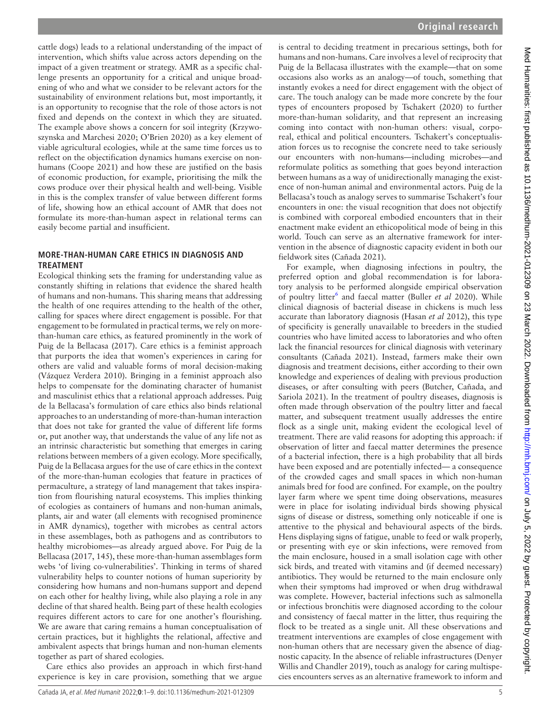cattle dogs) leads to a relational understanding of the impact of intervention, which shifts value across actors depending on the impact of a given treatment or strategy. AMR as a specific challenge presents an opportunity for a critical and unique broadening of who and what we consider to be relevant actors for the sustainability of environment relations but, most importantly, it is an opportunity to recognise that the role of those actors is not fixed and depends on the context in which they are situated. The example above shows a concern for soil integrity ([Krzywo](#page-8-23)[szynska and Marchesi 2020](#page-8-23); [O'Brien 2020](#page-8-24)) as a key element of viable agricultural ecologies, while at the same time forces us to reflect on the objectification dynamics humans exercise on nonhumans [\(Coope 2021\)](#page-7-17) and how these are justified on the basis of economic production, for example, prioritising the milk the cows produce over their physical health and well-being. Visible in this is the complex transfer of value between different forms of life, showing how an ethical account of AMR that does not formulate its more-than-human aspect in relational terms can easily become partial and insufficient.

## **MORE-THAN-HUMAN CARE ETHICS IN DIAGNOSIS AND TREATMENT**

Ecological thinking sets the framing for understanding value as constantly shifting in relations that evidence the shared health of humans and non-humans. This sharing means that addressing the health of one requires attending to the health of the other, calling for spaces where direct engagement is possible. For that engagement to be formulated in practical terms, we rely on morethan-human care ethics, as featured prominently in the work of [Puig de la Bellacasa \(2017\).](#page-8-19) Care ethics is a feminist approach that purports the idea that women's experiences in caring for others are valid and valuable forms of moral decision-making ([Vázquez Verdera 2010\)](#page-8-25). Bringing in a feminist approach also helps to compensate for the dominating character of humanist and masculinist ethics that a relational approach addresses. Puig de la Bellacasa's formulation of care ethics also binds relational approaches to an understanding of more-than-human interaction that does not take for granted the value of different life forms or, put another way, that understands the value of any life not as an intrinsic characteristic but something that emerges in caring relations between members of a given ecology. More specifically, Puig de la Bellacasa argues for the use of care ethics in the context of the more-than-human ecologies that feature in practices of permaculture, a strategy of land management that takes inspiration from flourishing natural ecosystems. This implies thinking of ecologies as containers of humans and non-human animals, plants, air and water (all elements with recognised prominence in AMR dynamics), together with microbes as central actors in these assemblages, both as pathogens and as contributors to healthy microbiomes—as already argued above. For [Puig de la](#page-8-19)  [Bellacasa \(2017, 145\)](#page-8-19), these more-than-human assemblages form webs 'of living co-vulnerabilities'. Thinking in terms of shared vulnerability helps to counter notions of human superiority by considering how humans and non-humans support and depend on each other for healthy living, while also playing a role in any decline of that shared health. Being part of these health ecologies requires different actors to care for one another's flourishing. We are aware that caring remains a human conceptualisation of certain practices, but it highlights the relational, affective and ambivalent aspects that brings human and non-human elements together as part of shared ecologies.

Care ethics also provides an approach in which first-hand experience is key in care provision, something that we argue

is central to deciding treatment in precarious settings, both for humans and non-humans. Care involves a level of reciprocity that Puig de la Bellacasa illustrates with the example—that on some occasions also works as an analogy—of touch, something that instantly evokes a need for direct engagement with the object of care. The touch analogy can be made more concrete by the four types of encounters proposed by [Tschakert \(2020\)](#page-8-26) to further more-than-human solidarity, and that represent an increasing coming into contact with non-human others: visual, corporeal, ethical and political encounters. Tschakert's conceptualisation forces us to recognise the concrete need to take seriously our encounters with non-humans—including microbes—and reformulate politics as something that goes beyond interaction between humans as a way of unidirectionally managing the existence of non-human animal and environmental actors. Puig de la Bellacasa's touch as analogy serves to summarise Tschakert's four encounters in one: the visual recognition that does not objectify is combined with corporeal embodied encounters that in their enactment make evident an ethicopolitical mode of being in this world. Touch can serve as an alternative framework for intervention in the absence of diagnostic capacity evident in both our fieldwork sites [\(Cañada 2021\)](#page-7-18).

For example, when diagnosing infections in poultry, the preferred option and global recommendation is for laboratory analysis to be performed alongside empirical observation of poultry litter<sup>[6](#page-7-19)</sup> and faecal matter [\(Buller](#page-7-20) *et al* 2020). While clinical diagnosis of bacterial disease in chickens is much less accurate than laboratory diagnosis [\(Hasan](#page-7-21) *et al* 2012), this type of specificity is generally unavailable to breeders in the studied countries who have limited access to laboratories and who often lack the financial resources for clinical diagnosis with veterinary consultants [\(Cañada 2021\)](#page-7-18). Instead, farmers make their own diagnosis and treatment decisions, either according to their own knowledge and experiences of dealing with previous production diseases, or after consulting with peers ([Butcher, Cañada, and](#page-7-22) [Sariola 2021](#page-7-22)). In the treatment of poultry diseases, diagnosis is often made through observation of the poultry litter and faecal matter, and subsequent treatment usually addresses the entire flock as a single unit, making evident the ecological level of treatment. There are valid reasons for adopting this approach: if observation of litter and faecal matter determines the presence of a bacterial infection, there is a high probability that all birds have been exposed and are potentially infected— a consequence of the crowded cages and small spaces in which non-human animals bred for food are confined. For example, on the poultry layer farm where we spent time doing observations, measures were in place for isolating individual birds showing physical signs of disease or distress, something only noticeable if one is attentive to the physical and behavioural aspects of the birds. Hens displaying signs of fatigue, unable to feed or walk properly, or presenting with eye or skin infections, were removed from the main enclosure, housed in a small isolation cage with other sick birds, and treated with vitamins and (if deemed necessary) antibiotics. They would be returned to the main enclosure only when their symptoms had improved or when drug withdrawal was complete. However, bacterial infections such as salmonella or infectious bronchitis were diagnosed according to the colour and consistency of faecal matter in the litter, thus requiring the flock to be treated as a single unit. All these observations and treatment interventions are examples of close engagement with non-human others that are necessary given the absence of diagnostic capacity. In the absence of reliable infrastructures [\(Denyer](#page-7-12) [Willis and Chandler 2019\)](#page-7-12), touch as analogy for caring multispecies encounters serves as an alternative framework to inform and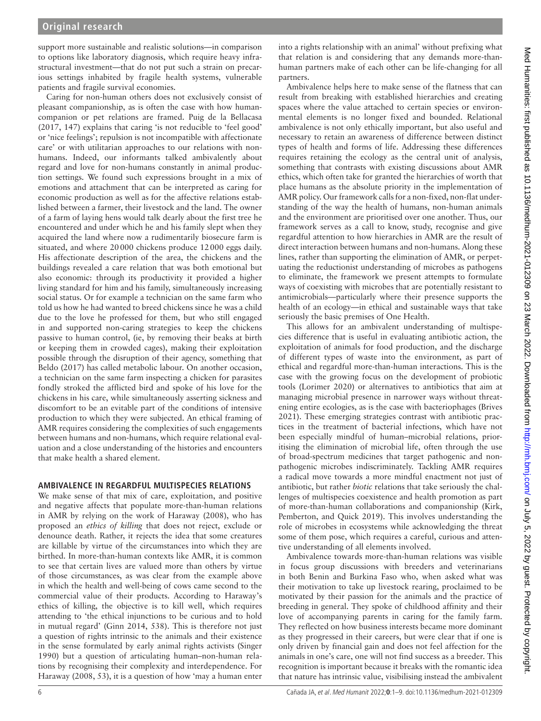support more sustainable and realistic solutions—in comparison to options like laboratory diagnosis, which require heavy infrastructural investment—that do not put such a strain on precarious settings inhabited by fragile health systems, vulnerable patients and fragile survival economies.

Caring for non-human others does not exclusively consist of pleasant companionship, as is often the case with how humancompanion or pet relations are framed. [Puig de la Bellacasa](#page-8-19)  [\(2017, 147\)](#page-8-19) explains that caring 'is not reducible to 'feel good' or 'nice feelings'; repulsion is not incompatible with affectionate care' or with utilitarian approaches to our relations with nonhumans. Indeed, our informants talked ambivalently about regard and love for non-humans constantly in animal production settings. We found such expressions brought in a mix of emotions and attachment that can be interpreted as caring for economic production as well as for the affective relations established between a farmer, their livestock and the land. The owner of a farm of laying hens would talk dearly about the first tree he encountered and under which he and his family slept when they acquired the land where now a rudimentarily biosecure farm is situated, and where 20000 chickens produce 12000 eggs daily. His affectionate description of the area, the chickens and the buildings revealed a care relation that was both emotional but also economic: through its productivity it provided a higher living standard for him and his family, simultaneously increasing social status. Or for example a technician on the same farm who told us how he had wanted to breed chickens since he was a child due to the love he professed for them, but who still engaged in and supported non-caring strategies to keep the chickens passive to human control, (ie, by removing their beaks at birth or keeping them in crowded cages), making their exploitation possible through the disruption of their agency, something that [Beldo \(2017\)](#page-7-23) has called metabolic labour. On another occasion, a technician on the same farm inspecting a chicken for parasites fondly stroked the afflicted bird and spoke of his love for the chickens in his care, while simultaneously asserting sickness and discomfort to be an evitable part of the conditions of intensive production to which they were subjected. An ethical framing of AMR requires considering the complexities of such engagements between humans and non-humans, which require relational evaluation and a close understanding of the histories and encounters that make health a shared element.

## **AMBIVALENCE IN REGARDFUL MULTISPECIES RELATIONS**

We make sense of that mix of care, exploitation, and positive and negative affects that populate more-than-human relations in AMR by relying on the work of [Haraway \(2008\),](#page-7-11) who has proposed an *ethics of killing* that does not reject, exclude or denounce death. Rather, it rejects the idea that some creatures are killable by virtue of the circumstances into which they are birthed. In more-than-human contexts like AMR, it is common to see that certain lives are valued more than others by virtue of those circumstances, as was clear from the example above in which the health and well-being of cows came second to the commercial value of their products. According to Haraway's ethics of killing, the objective is to kill well, which requires attending to 'the ethical injunctions to be curious and to hold in mutual regard' [\(Ginn 2014](#page-7-24), 538). This is therefore not just a question of rights intrinsic to the animals and their existence in the sense formulated by early animal rights activists [\(Singer](#page-8-27)  [1990](#page-8-27)) but a question of articulating human–non-human relations by recognising their complexity and interdependence. For [Haraway \(2008, 53\)](#page-7-11), it is a question of how 'may a human enter

into a rights relationship with an animal' without prefixing what that relation is and considering that any demands more-thanhuman partners make of each other can be life-changing for all partners.

Ambivalence helps here to make sense of the flatness that can result from breaking with established hierarchies and creating spaces where the value attached to certain species or environmental elements is no longer fixed and bounded. Relational ambivalence is not only ethically important, but also useful and necessary to retain an awareness of difference between distinct types of health and forms of life. Addressing these differences requires retaining the ecology as the central unit of analysis, something that contrasts with existing discussions about AMR ethics, which often take for granted the hierarchies of worth that place humans as the absolute priority in the implementation of AMR policy. Our framework calls for a non-fixed, non-flat understanding of the way the health of humans, non-human animals and the environment are prioritised over one another. Thus, our framework serves as a call to know, study, recognise and give regardful attention to how hierarchies in AMR are the result of direct interaction between humans and non-humans. Along these lines, rather than supporting the elimination of AMR, or perpetuating the reductionist understanding of microbes as pathogens to eliminate, the framework we present attempts to formulate ways of coexisting with microbes that are potentially resistant to antimicrobials—particularly where their presence supports the health of an ecology—in ethical and sustainable ways that take seriously the basic premises of One Health.

This allows for an ambivalent understanding of multispecies difference that is useful in evaluating antibiotic action, the exploitation of animals for food production, and the discharge of different types of waste into the environment, as part of ethical and regardful more-than-human interactions. This is the case with the growing focus on the development of probiotic tools [\(Lorimer 2020](#page-8-28)) or alternatives to antibiotics that aim at managing microbial presence in narrower ways without threatening entire ecologies, as is the case with bacteriophages ([Brives](#page-7-25) [2021\)](#page-7-25). These emerging strategies contrast with antibiotic practices in the treatment of bacterial infections, which have not been especially mindful of human–microbial relations, prioritising the elimination of microbial life, often through the use of broad-spectrum medicines that target pathogenic and nonpathogenic microbes indiscriminately. Tackling AMR requires a radical move towards a more mindful enactment not just of antibiotic, but rather *biotic* relations that take seriously the challenges of multispecies coexistence and health promotion as part of more-than-human collaborations and companionship ([Kirk,](#page-8-29) [Pemberton, and Quick 2019\)](#page-8-29). This involves understanding the role of microbes in ecosystems while acknowledging the threat some of them pose, which requires a careful, curious and attentive understanding of all elements involved.

Ambivalence towards more-than-human relations was visible in focus group discussions with breeders and veterinarians in both Benin and Burkina Faso who, when asked what was their motivation to take up livestock rearing, proclaimed to be motivated by their passion for the animals and the practice of breeding in general. They spoke of childhood affinity and their love of accompanying parents in caring for the family farm. They reflected on how business interests became more dominant as they progressed in their careers, but were clear that if one is only driven by financial gain and does not feel affection for the animals in one's care, one will not find success as a breeder. This recognition is important because it breaks with the romantic idea that nature has intrinsic value, visibilising instead the ambivalent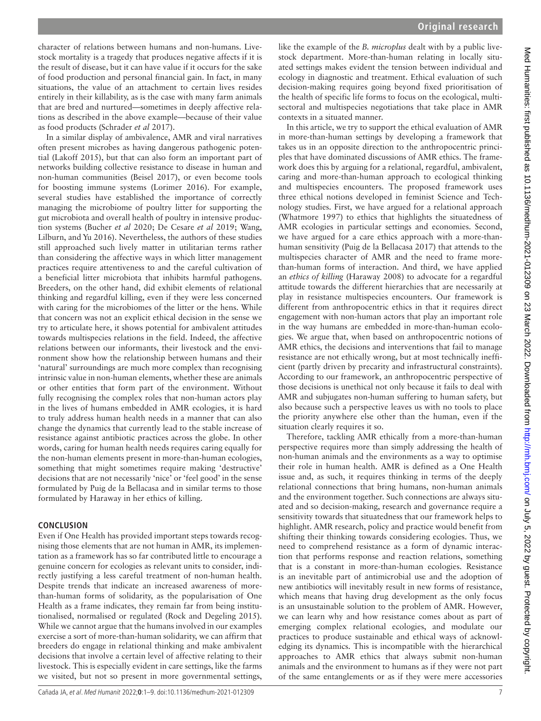character of relations between humans and non-humans. Livestock mortality is a tragedy that produces negative affects if it is the result of disease, but it can have value if it occurs for the sake of food production and personal financial gain. In fact, in many situations, the value of an attachment to certain lives resides entirely in their killability, as is the case with many farm animals that are bred and nurtured—sometimes in deeply affective relations as described in the above example—because of their value as food products ([Schrader](#page-8-30) *et al* 2017).

In a similar display of ambivalence, AMR and viral narratives often present microbes as having dangerous pathogenic potential [\(Lakoff 2015\)](#page-8-31), but that can also form an important part of networks building collective resistance to disease in human and non-human communities ([Beisel 2017\)](#page-7-26), or even become tools for boosting immune systems [\(Lorimer 2016](#page-8-32)). For example, several studies have established the importance of correctly managing the microbiome of poultry litter for supporting the gut microbiota and overall health of poultry in intensive production systems [\(Bucher](#page-7-27) *et al* 2020; [De Cesare](#page-7-28) *et al* 2019; [Wang,](#page-8-33)  [Lilburn, and Yu 2016](#page-8-33)). Nevertheless, the authors of these studies still approached such lively matter in utilitarian terms rather than considering the affective ways in which litter management practices require attentiveness to and the careful cultivation of a beneficial litter microbiota that inhibits harmful pathogens. Breeders, on the other hand, did exhibit elements of relational thinking and regardful killing, even if they were less concerned with caring for the microbiomes of the litter or the hens. While that concern was not an explicit ethical decision in the sense we try to articulate here, it shows potential for ambivalent attitudes towards multispecies relations in the field. Indeed, the affective relations between our informants, their livestock and the environment show how the relationship between humans and their 'natural' surroundings are much more complex than recognising intrinsic value in non-human elements, whether these are animals or other entities that form part of the environment. Without fully recognising the complex roles that non-human actors play in the lives of humans embedded in AMR ecologies, it is hard to truly address human health needs in a manner that can also change the dynamics that currently lead to the stable increase of resistance against antibiotic practices across the globe. In other words, caring for human health needs requires caring equally for the non-human elements present in more-than-human ecologies, something that might sometimes require making 'destructive' decisions that are not necessarily 'nice' or 'feel good' in the sense formulated by Puig de la Bellacasa and in similar terms to those formulated by Haraway in her ethics of killing.

## **CONCLUSION**

Even if One Health has provided important steps towards recognising those elements that are not human in AMR, its implementation as a framework has so far contributed little to encourage a genuine concern for ecologies as relevant units to consider, indirectly justifying a less careful treatment of non-human health. Despite trends that indicate an increased awareness of morethan-human forms of solidarity, as the popularisation of One Health as a frame indicates, they remain far from being institutionalised, normalised or regulated ([Rock and Degeling 2015](#page-8-12)). While we cannot argue that the humans involved in our examples exercise a sort of more-than-human solidarity, we can affirm that breeders do engage in relational thinking and make ambivalent decisions that involve a certain level of affective relating to their livestock. This is especially evident in care settings, like the farms we visited, but not so present in more governmental settings,

like the example of the *B. microplus* dealt with by a public livestock department. More-than-human relating in locally situated settings makes evident the tension between individual and ecology in diagnostic and treatment. Ethical evaluation of such decision-making requires going beyond fixed prioritisation of the health of specific life forms to focus on the ecological, multisectoral and multispecies negotiations that take place in AMR contexts in a situated manner.

In this article, we try to support the ethical evaluation of AMR in more-than-human settings by developing a framework that takes us in an opposite direction to the anthropocentric principles that have dominated discussions of AMR ethics. The framework does this by arguing for a relational, regardful, ambivalent, caring and more-than-human approach to ecological thinking and multispecies encounters. The proposed framework uses three ethical notions developed in feminist Science and Technology studies. First, we have argued for a relational approach ([Whatmore 1997\)](#page-8-18) to ethics that highlights the situatedness of AMR ecologies in particular settings and economies. Second, we have argued for a care ethics approach with a more-thanhuman sensitivity [\(Puig de la Bellacasa 2017](#page-8-19)) that attends to the multispecies character of AMR and the need to frame morethan-human forms of interaction. And third, we have applied an *ethics of killing* [\(Haraway 2008](#page-7-11)) to advocate for a regardful attitude towards the different hierarchies that are necessarily at play in resistance multispecies encounters. Our framework is different from anthropocentric ethics in that it requires direct engagement with non-human actors that play an important role in the way humans are embedded in more-than-human ecologies. We argue that, when based on anthropocentric notions of AMR ethics, the decisions and interventions that fail to manage resistance are not ethically wrong, but at most technically inefficient (partly driven by precarity and infrastructural constraints). According to our framework, an anthropocentric perspective of those decisions is unethical not only because it fails to deal with AMR and subjugates non-human suffering to human safety, but also because such a perspective leaves us with no tools to place the priority anywhere else other than the human, even if the situation clearly requires it so.

Therefore, tackling AMR ethically from a more-than-human perspective requires more than simply addressing the health of non-human animals and the environments as a way to optimise their role in human health. AMR is defined as a One Health issue and, as such, it requires thinking in terms of the deeply relational connections that bring humans, non-human animals and the environment together. Such connections are always situated and so decision-making, research and governance require a sensitivity towards that situatedness that our framework helps to highlight. AMR research, policy and practice would benefit from shifting their thinking towards considering ecologies. Thus, we need to comprehend resistance as a form of dynamic interaction that performs response and reaction relations, something that is a constant in more-than-human ecologies. Resistance is an inevitable part of antimicrobial use and the adoption of new antibiotics will inevitably result in new forms of resistance, which means that having drug development as the only focus is an unsustainable solution to the problem of AMR. However, we can learn why and how resistance comes about as part of emerging complex relational ecologies, and modulate our practices to produce sustainable and ethical ways of acknowledging its dynamics. This is incompatible with the hierarchical approaches to AMR ethics that always submit non-human animals and the environment to humans as if they were not part of the same entanglements or as if they were mere accessories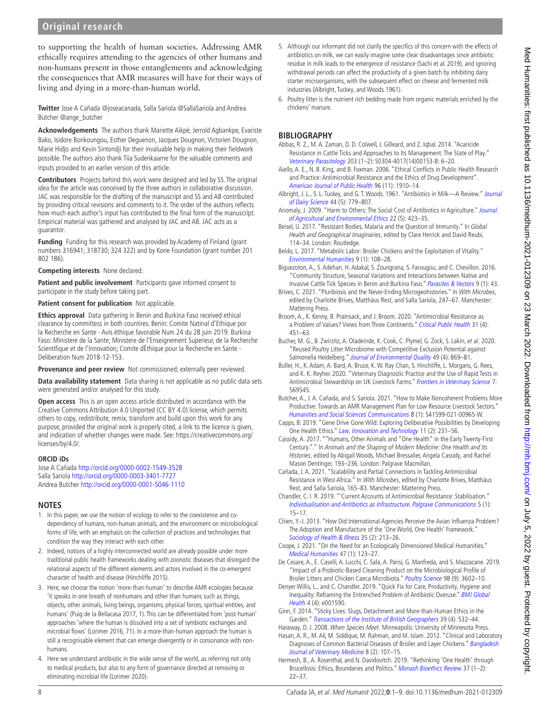## **Original research**

to supporting the health of human societies. Addressing AMR ethically requires attending to the agencies of other humans and non-humans present in those entanglements and acknowledging the consequences that AMR measures will have for their ways of living and dying in a more-than-human world.

**Twitter** Jose A Cañada [@joseacanada,](https://twitter.com/joseacanada) Salla Sariola [@SallaSariola](https://twitter.com/SallaSariola) and Andrea Butcher [@ange\\_butcher](https://twitter.com/ange_butcher)

**Acknowledgements** The authors thank Mariette Aikpé, Jerrold Agbankpe, Evariste Bako, Isidore Bonkoungou, Esther Deguenon, Jacques Dougnon, Victorien Dougnon, Marie Hidjo and Kevin Sintondji for their invaluable help in making their fieldwork possible. The authors also thank Tiia Sudenkaarne for the valuable comments and inputs provided to an earlier version of this article.

**Contributors** Projects behind this work were designed and led by SS. The original idea for the article was conceived by the three authors in collaborative discussion. JAC was responsible for the drafting of the manuscript and SS and AB contributed by providing critical revisions and comments to it. The order of the authors reflects how much each author's input has contributed to the final form of the manuscript. Empirical material was gathered and analysed by JAC and AB. JAC acts as a guarantor.

**Funding** Funding for this research was provided by Academy of Finland (grant numbers 316941; 318730; 324 322) and by Kone Foundation (grant number 201 802 186).

**Competing interests** None declared.

**Patient and public involvement** Participants gave informed consent to participate in the study before taking part.

**Patient consent for publication** Not applicable.

**Ethics approval** Data gathering in Benin and Burkina Faso received ethical clearance by committess in both countires. Benin: Comite Natinal d'Ethique por la Recherche en Sante - Avis éthique favorable Num 24 du 28 juin 2019. Burkina Faso: Ministere de la Sante; Ministere de l'Enseignement Superieur, de la Recherche Scientifique et de l'Innovation; Comite dÉthique pour la Recherche en Sante - Deliberation Num 2018-12-153.

**Provenance and peer review** Not commissioned; externally peer reviewed.

**Data availability statement** Data sharing is not applicable as no public data sets were generated and/or analysed for this study.

**Open access** This is an open access article distributed in accordance with the Creative Commons Attribution 4.0 Unported (CC BY 4.0) license, which permits others to copy, redistribute, remix, transform and build upon this work for any purpose, provided the original work is properly cited, a link to the licence is given, and indication of whether changes were made. See: [https://creativecommons.org/](https://creativecommons.org/licenses/by/4.0/) [licenses/by/4.0/.](https://creativecommons.org/licenses/by/4.0/)

#### **ORCID iDs**

Jose A Cañada<http://orcid.org/0000-0002-1549-3528> Salla Sariola<http://orcid.org/0000-0003-3401-7727> Andrea Butcher<http://orcid.org/0000-0001-5046-1110>

## **NOTES**

- <span id="page-7-2"></span>1. In this paper, we use the notion of ecology to refer to the coexistence and codependency of humans, non-human animals, and the environment on microbiological forms of life, with an emphasis on the collection of practices and technologies that condition the way they interact with each other.
- <span id="page-7-8"></span>2. Indeed, notions of a highly interconnected world are already possible under more traditional public health frameworks dealing with zoonotic diseases that disregard the relational aspects of the different elements and actors involved in the co-emergent character of health and disease ([Hinchliffe 2015](#page-8-34)).
- <span id="page-7-9"></span>3. Here, we choose the notion 'more-than-human' to describe AMR ecologies because 'it speaks in one breath of nonhumans and other than humans such as things, objects, other animals, living beings, organisms, physical forces, spiritual entities, and humans' [\(Puig de la Bellacasa 2017,](#page-8-19) 1). This can be differentiated from 'post-human' approaches 'where the human is dissolved into a set of symbiotic exchanges and microbial flows' ([Lorimer 2016](#page-8-32), 71). In a more-than-human approach the human is still a recognisable element that can emerge divergently or in consonance with nonhumans.
- <span id="page-7-10"></span>4. Here we understand antibiotic in the wide sense of the world, as referring not only to medical products, but also to any form of governance directed at removing or eliminating microbial life ([Lorimer 2020](#page-8-28)).
- <span id="page-7-16"></span>5. Although our informant did not clarify the specifics of this concern with the effects of antibiotics on milk, we can easily imagine some clear disadvantages since antibiotic residue in milk leads to the emergence of resistance [\(Sachi et al. 2019\)](#page-8-35), and ignoring withdrawal periods can affect the productivity of a given batch by inhibiting dairy starter microorganisms, with the subsequent effect on cheese and fermented milk industries ([Albright, Tuckey, and Woods 1961](#page-7-29)).
- <span id="page-7-19"></span>6. Poultry litter is the nutrient rich bedding made from organic materials enriched by the chickens' manure.

## **BIBLIOGRAPHY**

- <span id="page-7-15"></span>Abbas, R. Z., M. A. Zaman, D. D. Colwell, J. Gilleard, and Z. Iqbal. 2014. "Acaricide Resistance in Cattle Ticks and Approaches to Its Management: The State of Play." [Veterinary Parasitology](http://dx.doi.org/10.1016/j.vetpar.2014.03.006) 203 (1–2): S0304-4017(14)00153-8: 6–20.
- <span id="page-7-3"></span>Aiello, A. E., N. B. King, and B. Foxman. 2006. "Ethical Conflicts in Public Health Research and Practice: Antimicrobial Resistance and the Ethics of Drug Development". [American Journal of Public Health](http://dx.doi.org/10.2105/AJPH.2005.077214) 96 (11): 1910–14.
- <span id="page-7-29"></span>Albright, J. L., S. L. Tuckey, and G. T. Woods. 1961. "Antibiotics in Milk-A Review." [Journal](http://dx.doi.org/10.3168/jds.S0022-0302(61)89819-6) [of Dairy Science](http://dx.doi.org/10.3168/jds.S0022-0302(61)89819-6) 44 (5): 779–807.
- <span id="page-7-4"></span>Anomaly, J. 2009. "Harm to Others: The Social Cost of Antibiotics in Agriculture." Journal [of Agricultural and Environmental Ethics](http://dx.doi.org/10.1007/s10806-009-9160-y) 22 (5): 423–35.
- <span id="page-7-26"></span>Beisel, U. 2017. "Resistant Bodies, Malaria and the Question of Immunity." In Global Health and Geographical Imaginaries, edited by Clare Herrick and David Reubi, 114–34. London: Routledge.
- <span id="page-7-23"></span>Beldo, L. 2017. "Metabolic Labor: Broiler Chickens and the Exploitation of Vitality." [Environmental Humanities](http://dx.doi.org/10.1215/22011919-3829154) 9 (1): 108–28.
- <span id="page-7-14"></span>Biguezoton, A., S. Adehan, H. Adakal, S. Zoungrana, S. Farougou, and C. Chevillon. 2016. "Community Structure, Seasonal Variations and Interactions between Native and Invasive Cattle Tick Species in Benin and Burkina Faso." [Parasites & Vectors](http://dx.doi.org/10.1186/s13071-016-1305-z) 9 (1): 43.
- <span id="page-7-25"></span>Brives, C. 2021. "Pluribiosis and the Never-Ending Microgeohistories." In [With Microbes](http://dx.doi.org/10.31235/osf.io/cphfz), edited by Charlotte Brives, Matthäus Rest, and Salla Sariola, 247–67. Manchester: Mattering Press.
- <span id="page-7-7"></span>Broom, A., K. Kenny, B. Prainsack, and J. Broom. 2020. "Antimicrobial Resistance as a Problem of Values? Views from Three Continents." [Critical Public Health](http://dx.doi.org/10.1080/09581596.2020.1725444) 31 (4): 451–63.
- <span id="page-7-27"></span>Bucher, M. G., B. Zwirzitz, A. Oladeinde, K. Cook, C. Plymel, G. Zock, S. Lakin, et al. 2020. "Reused Poultry Litter Microbiome with Competitive Exclusion Potential against Salmonella Heidelberg." [Journal of Environmental Quality](http://dx.doi.org/10.1002/jeq2.20081) 49 (4): 869-81.
- <span id="page-7-20"></span>Buller, H., K. Adam, A. Bard, A. Bruce, K. W. Ray Chan, S. Hinchliffe, L. Morgans, G. Rees, and K. K. Reyher. 2020. "Veterinary Diagnostic Practice and the Use of Rapid Tests in Antimicrobial Stewardship on UK Livestock Farms." [Frontiers in Veterinary Science](http://dx.doi.org/10.3389/fvets.2020.569545) 7: 569545.
- <span id="page-7-22"></span>Butcher, A., J. A. Cañada, and S. Sariola. 2021. "How to Make Noncoherent Problems More Productive: Towards an AMR Management Plan for Low Resource Livestock Sectors." [Humanities and Social Sciences Communications](http://dx.doi.org/10.1057/s41599-021-00965-w) 8 (1): S41599-021-00965-W.
- <span id="page-7-5"></span>Capps, B. 2019. "Gene Drive Gone Wild: Exploring Deliberative Possibilities by Developing One Health Ethics." [Law, Innovation and Technology](http://dx.doi.org/10.1080/17579961.2019.1665789) 11 (2): 231-56.
- <span id="page-7-0"></span>Cassidy, A. 2017. "''Humans, Other Animals and "One Health" in the Early Twenty-First Century.''." In [Animals and the Shaping of Modern Medicine: One Health and Its](http://dx.doi.org/10.1007/978-3-319-64337-3)  [Histories](http://dx.doi.org/10.1007/978-3-319-64337-3), edited by Abigail Woods, Michael Bressalier, Angela Cassidy, and Rachel Mason Dentinger, 193–236. London: Palgrave Macmillan.
- <span id="page-7-18"></span>Cañada, J. A. 2021. "Scalability and Partial Connections in Tackling Antimicrobial Resistance in West Africa." In With Microbes, edited by Charlotte Brives, Matthäus Rest, and Salla Sariola, 165–83. Manchester: Mattering Press.
- <span id="page-7-13"></span>Chandler, C. I. R. 2019. "'Current Accounts of Antimicrobial Resistance: Stabilisation." [Individualisation and Antibiotics as Infrastructure. Palgrave Communications](http://dx.doi.org/10.1057/s41599-019-0263-4) 5 (1): 15–17.
- <span id="page-7-1"></span>Chien, Y.-J. 2013. "How Did International Agencies Perceive the Avian Influenza Problem? The Adoption and Manufacture of the 'One World, One Health' Framework." [Sociology of Health & Illness](http://dx.doi.org/10.1111/j.1467-9566.2012.01534.x) 35 (2): 213-26.
- <span id="page-7-17"></span>Coope, J. 2021. "On the Need for an Ecologically Dimensioned Medical Humanities." [Medical Humanities](http://dx.doi.org/10.1136/medhum-2019-011720) 47 (1): 123–27.
- <span id="page-7-28"></span>De Cesare, A., E. Caselli, A. Lucchi, C. Sala, A. Parisi, G. Manfreda, and S. Mazzacane. 2019. "Impact of a Probiotic-Based Cleaning Product on the Microbiological Profile of Broiler Litters and Chicken Caeca Microbiota." [Poultry Science](http://dx.doi.org/10.3382/ps/pez148) 98 (9): 3602-10.
- <span id="page-7-12"></span>Denyer Willis, L., and C. Chandler. 2019. "Quick Fix for Care, Productivity, Hygiene and Inequality: Reframing the Entrenched Problem of Antibiotic Overuse." [BMJ Global](http://dx.doi.org/10.1136/bmjgh-2019-001590)  [Health](http://dx.doi.org/10.1136/bmjgh-2019-001590) 4 (4): e001590.
- <span id="page-7-24"></span>Ginn, F. 2014. "Sticky Lives: Slugs, Detachment and More-than-Human Ethics in the Garden." [Transactions of the Institute of British Geographers](http://dx.doi.org/10.1111/tran.12043) 39 (4): 532–44.

<span id="page-7-11"></span>Haraway, D. J. 2008. [When Species Meet](http://dx.doi.org/18274421). Minneapolis: University of Minnesota Press. Hasan, A. R., M. Ali, M. Siddique, M. Rahman, and M. Islam. 2012. "Clinical and Laboratory

<span id="page-7-21"></span>Diagnoses of Common Bacterial Diseases of Broiler and Layer Chickens." Bangladesh [Journal of Veterinary Medicine](http://dx.doi.org/10.3329/bjvm.v8i2.11188) 8 (2): 107–15.

<span id="page-7-6"></span>Hermesh, B., A. Rosenthal, and N. Davidovitch. 2019. "Rethinking 'One Health' through Brucellosis: Ethics, Boundaries and Politics." [Monash Bioethics Review](http://dx.doi.org/10.1007/s40592-018-0079-9) 37 (1-2): 22–37.